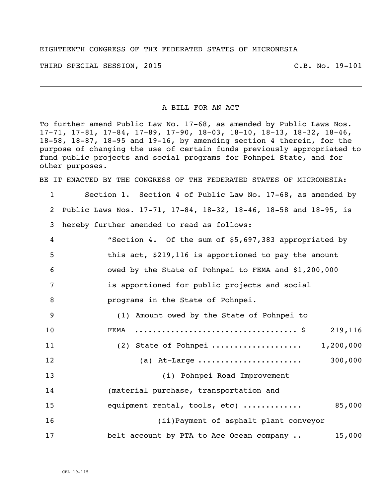## EIGHTEENTH CONGRESS OF THE FEDERATED STATES OF MICRONESIA

THIRD SPECIAL SESSION, 2015 C.B. No. 19-101

## A BILL FOR AN ACT

To further amend Public Law No. 17-68, as amended by Public Laws Nos. 17-71, 17-81, 17-84, 17-89, 17-90, 18-03, 18-10, 18-13, 18-32, 18-46, 18-58, 18-87, 18-95 and 19-16, by amending section 4 therein, for the purpose of changing the use of certain funds previously appropriated to fund public projects and social programs for Pohnpei State, and for other purposes.

BE IT ENACTED BY THE CONGRESS OF THE FEDERATED STATES OF MICRONESIA:

 Section 1. Section 4 of Public Law No. 17-68, as amended by Public Laws Nos. 17-71, 17-84, 18-32, 18-46, 18-58 and 18-95, is hereby further amended to read as follows: "Section 4. Of the sum of \$5,697,383 appropriated by this act, \$219,116 is apportioned to pay the amount

owed by the State of Pohnpei to FEMA and \$1,200,000

is apportioned for public projects and social

programs in the State of Pohnpei.

| - 9 | (1) Amount owed by the State of Pohnpei to |           |
|-----|--------------------------------------------|-----------|
| 10  |                                            | 219,116   |
| 11  | $(2)$ State of Pohnpei                     | 1,200,000 |
| 12  | (a) At-Large                               | 300,000   |
| 13  | (i) Pohnpei Road Improvement               |           |
| 14  | (material purchase, transportation and     |           |
| 15  | equipment rental, tools, etc)              | 85,000    |
| 16  | (ii) Payment of asphalt plant conveyor     |           |
| 17  | belt account by PTA to Ace Ocean company   | 15,000    |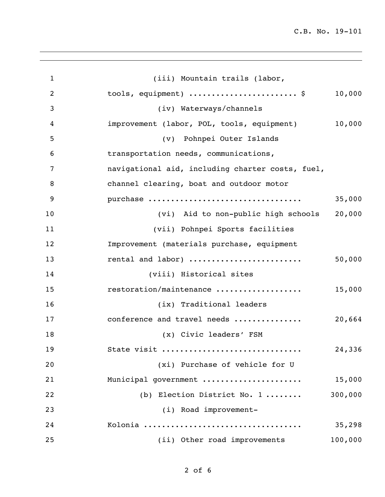C.B. No. 19-101

| $\mathbf{1}$   | (iii) Mountain trails (labor,                    |         |
|----------------|--------------------------------------------------|---------|
| $\overline{2}$ | tools, equipment) \$                             | 10,000  |
| 3              | (iv) Waterways/channels                          |         |
| 4              | improvement (labor, POL, tools, equipment)       | 10,000  |
| 5              | (v) Pohnpei Outer Islands                        |         |
| 6              | transportation needs, communications,            |         |
| 7              | navigational aid, including charter costs, fuel, |         |
| 8              | channel clearing, boat and outdoor motor         |         |
| 9              | purchase                                         | 35,000  |
| 10             | (vi) Aid to non-public high schools              | 20,000  |
| 11             | (vii) Pohnpei Sports facilities                  |         |
| 12             | Improvement (materials purchase, equipment       |         |
| 13             | rental and labor)                                | 50,000  |
| 14             | (viii) Historical sites                          |         |
| 15             | restoration/maintenance                          | 15,000  |
| 16             | (ix) Traditional leaders                         |         |
| 17             | conference and travel needs                      | 20,664  |
| 18             | (x) Civic leaders' FSM                           |         |
| 19             | State visit                                      | 24,336  |
| 20             | (xi) Purchase of vehicle for U                   |         |
| 21             | Municipal government                             | 15,000  |
| 22             | (b) Election District No. 1                      | 300,000 |
| 23             | (i) Road improvement-                            |         |
| 24             |                                                  | 35,298  |
| 25             | (ii) Other road improvements                     | 100,000 |
|                |                                                  |         |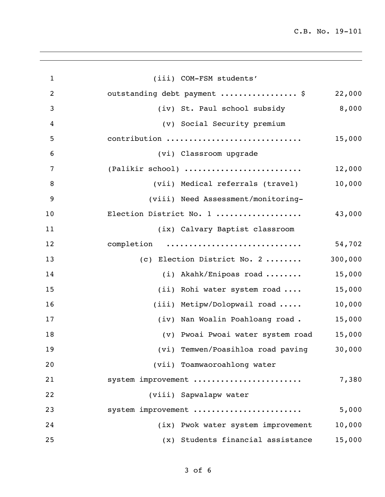C.B. No. 19-101

| $\mathbf{1}$ | (iii) COM-FSM students'            |         |
|--------------|------------------------------------|---------|
| 2            | outstanding debt payment  \$       | 22,000  |
| 3            | (iv) St. Paul school subsidy       | 8,000   |
| 4            | (v) Social Security premium        |         |
| 5            | contribution                       | 15,000  |
| 6            | (vi) Classroom upgrade             |         |
| 7            | (Palikir school)                   | 12,000  |
| 8            | (vii) Medical referrals (travel)   | 10,000  |
| 9            | (viii) Need Assessment/monitoring- |         |
| 10           | Election District No. 1            | 43,000  |
| 11           | (ix) Calvary Baptist classroom     |         |
| 12           | completion                         | 54,702  |
| 13           | (c) Election District No. 2        | 300,000 |
| 14           | (i) Akahk/Enipoas road             | 15,000  |
| 15           | (ii) Rohi water system road        | 15,000  |
| 16           | (iii) Metipw/Dolopwail road        | 10,000  |
| 17           | (iv) Nan Woalin Poahloang road.    | 15,000  |
| 18           | (v) Pwoai Pwoai water system road  | 15,000  |
| 19           | (vi) Temwen/Poasihloa road paving  | 30,000  |
| 20           | (vii) Toamwaoroahlong water        |         |
| 21           | system improvement                 | 7,380   |
| 22           | (viii) Sapwalapw water             |         |
| 23           | system improvement                 | 5,000   |
| 24           | (ix) Pwok water system improvement | 10,000  |
| 25           | (x) Students financial assistance  | 15,000  |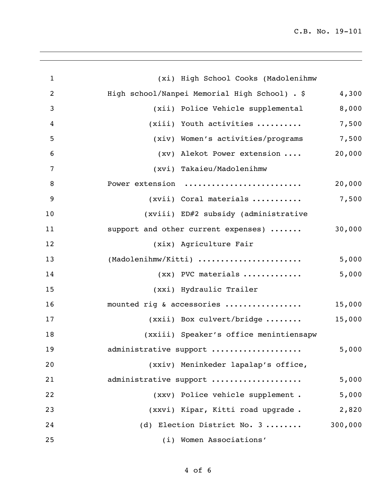| $\mathbf{1}$    | (xi) High School Cooks (Madolenihmw           |         |
|-----------------|-----------------------------------------------|---------|
| $\overline{2}$  | High school/Nanpei Memorial High School) . \$ | 4,300   |
| 3               | (xii) Police Vehicle supplemental             | 8,000   |
| 4               | $(xiii)$ Youth activities                     | 7,500   |
| 5               | (xiv) Women's activities/programs             | 7,500   |
| $6\phantom{1}6$ | (xv) Alekot Power extension                   | 20,000  |
| $\overline{7}$  | (xvi) Takaieu/Madolenihmw                     |         |
| 8               | Power extension                               | 20,000  |
| 9               | (xvii) Coral materials                        | 7,500   |
| 10              | (xviii) ED#2 subsidy (administrative          |         |
| 11              | support and other current expenses)           | 30,000  |
| 12              | (xix) Agriculture Fair                        |         |
| 13              | (Madolenihmw/Kitti)                           | 5,000   |
| 14              | $(xx)$ PVC materials                          | 5,000   |
| 15              | (xxi) Hydraulic Trailer                       |         |
| 16              | mounted rig & accessories                     | 15,000  |
| 17              | (xxii) Box culvert/bridge                     | 15,000  |
| 18              | (xxiii) Speaker's office menintiensapw        |         |
| 19              | administrative support                        | 5,000   |
| 20              | (xxiv) Meninkeder lapalap's office,           |         |
| 21              | administrative support                        | 5,000   |
| 22              | (xxv) Police vehicle supplement.              | 5,000   |
| 23              | (xxvi) Kipar, Kitti road upgrade.             | 2,820   |
| 24              | (d) Election District No. 3                   | 300,000 |
| 25              | (i) Women Associations'                       |         |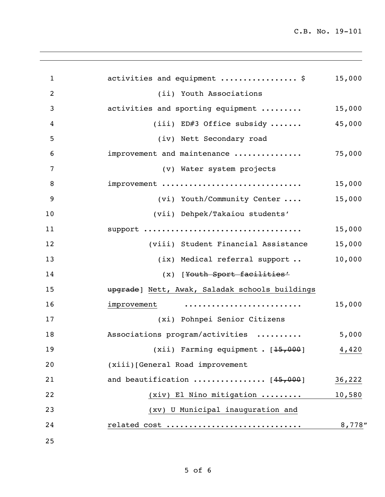C.B. No. 19-101

| $\mathbf{1}$   | activities and equipment  \$                    | 15,000 |
|----------------|-------------------------------------------------|--------|
| $\overline{2}$ | (ii) Youth Associations                         |        |
| 3              | activities and sporting equipment               | 15,000 |
| 4              | (iii) ED#3 Office subsidy                       | 45,000 |
| 5              | (iv) Nett Secondary road                        |        |
| 6              | improvement and maintenance                     | 75,000 |
| $\overline{7}$ | (v) Water system projects                       |        |
| 8              | improvement                                     | 15,000 |
| 9              | (vi) Youth/Community Center                     | 15,000 |
| 10             | (vii) Dehpek/Takaiou students'                  |        |
| 11             | support                                         | 15,000 |
| 12             | (viii) Student Financial Assistance             | 15,000 |
| 13             | (ix) Medical referral support                   | 10,000 |
| 14             | (x) [Youth Sport facilities'                    |        |
| 15             | upgrade] Nett, Awak, Saladak schools buildings  |        |
| 16             | improvement                                     | 15,000 |
| 17             | (xi) Pohnpei Senior Citizens                    |        |
| 18             | Associations program/activities                 | 5,000  |
| 19             | (xii) Farming equipment . [ <del>15,000</del> ] | 4,420  |
| 20             | (xiii) [General Road improvement                |        |
| 21             | and beautification $[45,000]$                   | 36,222 |
| 22             | (xiv) El Nino mitigation                        | 10,580 |
| 23             | (xv) U Municipal inauguration and               |        |
| 24             | related cost                                    | 8,778" |
| 25             |                                                 |        |